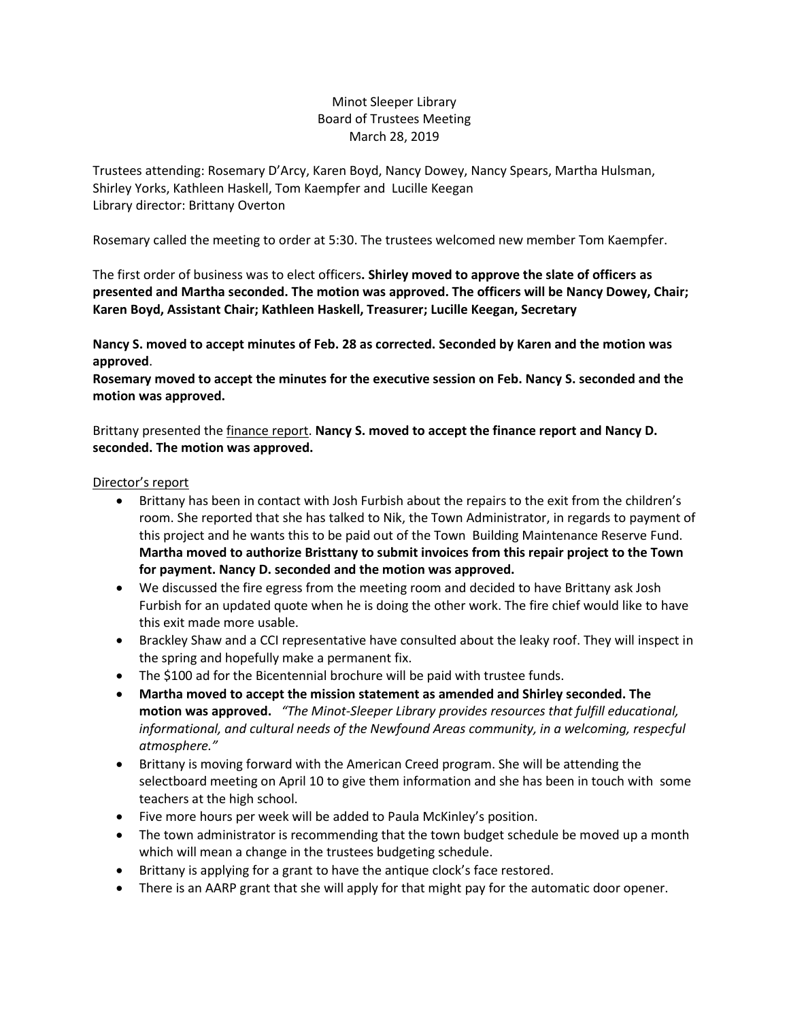# Minot Sleeper Library Board of Trustees Meeting March 28, 2019

Trustees attending: Rosemary D'Arcy, Karen Boyd, Nancy Dowey, Nancy Spears, Martha Hulsman, Shirley Yorks, Kathleen Haskell, Tom Kaempfer and Lucille Keegan Library director: Brittany Overton

Rosemary called the meeting to order at 5:30. The trustees welcomed new member Tom Kaempfer.

The first order of business was to elect officers**. Shirley moved to approve the slate of officers as presented and Martha seconded. The motion was approved. The officers will be Nancy Dowey, Chair; Karen Boyd, Assistant Chair; Kathleen Haskell, Treasurer; Lucille Keegan, Secretary**

**Nancy S. moved to accept minutes of Feb. 28 as corrected. Seconded by Karen and the motion was approved**.

**Rosemary moved to accept the minutes for the executive session on Feb. Nancy S. seconded and the motion was approved.**

Brittany presented the finance report. **Nancy S. moved to accept the finance report and Nancy D. seconded. The motion was approved.**

## Director's report

- Brittany has been in contact with Josh Furbish about the repairs to the exit from the children's room. She reported that she has talked to Nik, the Town Administrator, in regards to payment of this project and he wants this to be paid out of the Town Building Maintenance Reserve Fund. **Martha moved to authorize Bristtany to submit invoices from this repair project to the Town for payment. Nancy D. seconded and the motion was approved.**
- We discussed the fire egress from the meeting room and decided to have Brittany ask Josh Furbish for an updated quote when he is doing the other work. The fire chief would like to have this exit made more usable.
- Brackley Shaw and a CCI representative have consulted about the leaky roof. They will inspect in the spring and hopefully make a permanent fix.
- The \$100 ad for the Bicentennial brochure will be paid with trustee funds.
- **Martha moved to accept the mission statement as amended and Shirley seconded. The motion was approved.** *"The Minot-Sleeper Library provides resources that fulfill educational, informational, and cultural needs of the Newfound Areas community, in a welcoming, respecful atmosphere."*
- Brittany is moving forward with the American Creed program. She will be attending the selectboard meeting on April 10 to give them information and she has been in touch with some teachers at the high school.
- Five more hours per week will be added to Paula McKinley's position.
- The town administrator is recommending that the town budget schedule be moved up a month which will mean a change in the trustees budgeting schedule.
- Brittany is applying for a grant to have the antique clock's face restored.
- There is an AARP grant that she will apply for that might pay for the automatic door opener.